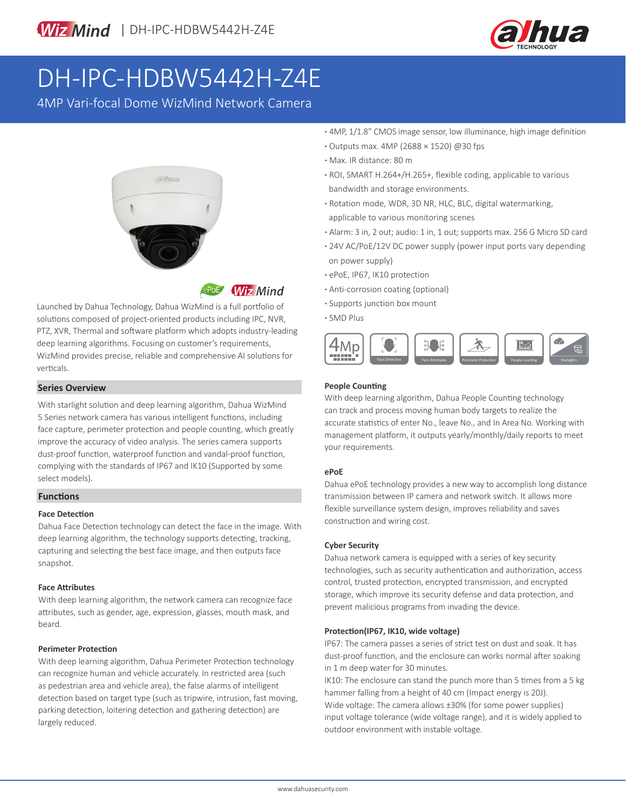

# DH-IPC-HDBW5442H-Z4E

4MP Vari-focal Dome WizMind Network Camera



**ePoE** Wiz Mind

Launched by Dahua Technology, Dahua WizMind is a full portfolio of solutions composed of project-oriented products including IPC, NVR, PTZ, XVR, Thermal and software platform which adopts industry-leading deep learning algorithms. Focusing on customer's requirements, WizMind provides precise, reliable and comprehensive AI solutions for verticals.

#### **Series Overview**

With starlight solution and deep learning algorithm, Dahua WizMind 5 Series network camera has various intelligent functions, including face capture, perimeter protection and people counting, which greatly improve the accuracy of video analysis. The series camera supports dust-proof function, waterproof function and vandal-proof function, complying with the standards of IP67 and IK10 (Supported by some select models).

#### **Functions**

#### **Face Detection**

Dahua Face Detection technology can detect the face in the image. With deep learning algorithm, the technology supports detecting, tracking, capturing and selecting the best face image, and then outputs face snapshot.

#### **Face Attributes**

With deep learning algorithm, the network camera can recognize face attributes, such as gender, age, expression, glasses, mouth mask, and beard.

#### **Perimeter Protection**

With deep learning algorithm, Dahua Perimeter Protection technology can recognize human and vehicle accurately. In restricted area (such as pedestrian area and vehicle area), the false alarms of intelligent detection based on target type (such as tripwire, intrusion, fast moving, parking detection, loitering detection and gathering detection) are largely reduced.

- **·** 4MP, 1/1.8" CMOS image sensor, low illuminance, high image definition
- **·** Outputs max. 4MP (2688 × 1520) @30 fps
- **·** Max. IR distance: 80 m
- **·** ROI, SMART H.264+/H.265+, flexible coding, applicable to various bandwidth and storage environments.
- **·** Rotation mode, WDR, 3D NR, HLC, BLC, digital watermarking, applicable to various monitoring scenes
- **·** Alarm: 3 in, 2 out; audio: 1 in, 1 out; supports max. 256 G Micro SD card
- **·** 24V AC/PoE/12V DC power supply (power input ports vary depending on power supply)
- **·** ePoE, IP67, IK10 protection
- **·** Anti-corrosion coating (optional)
- **·** Supports junction box mount
- **·** SMD Plus



#### **People Counting**

With deep learning algorithm, Dahua People Counting technology can track and process moving human body targets to realize the accurate statistics of enter No., leave No., and In Area No. Working with management platform, it outputs yearly/monthly/daily reports to meet your requirements.

#### **ePoE**

Dahua ePoE technology provides a new way to accomplish long distance transmission between IP camera and network switch. It allows more flexible surveillance system design, improves reliability and saves construction and wiring cost.

#### **Cyber Security**

Dahua network camera is equipped with a series of key security technologies, such as security authentication and authorization, access control, trusted protection, encrypted transmission, and encrypted storage, which improve its security defense and data protection, and prevent malicious programs from invading the device.

#### **Protection(IP67, IK10, wide voltage)**

IP67: The camera passes a series of strict test on dust and soak. It has dust-proof function, and the enclosure can works normal after soaking in 1 m deep water for 30 minutes.

IK10: The enclosure can stand the punch more than 5 times from a 5 kg hammer falling from a height of 40 cm (Impact energy is 20J). Wide voltage: The camera allows ±30% (for some power supplies) input voltage tolerance (wide voltage range), and it is widely applied to outdoor environment with instable voltage.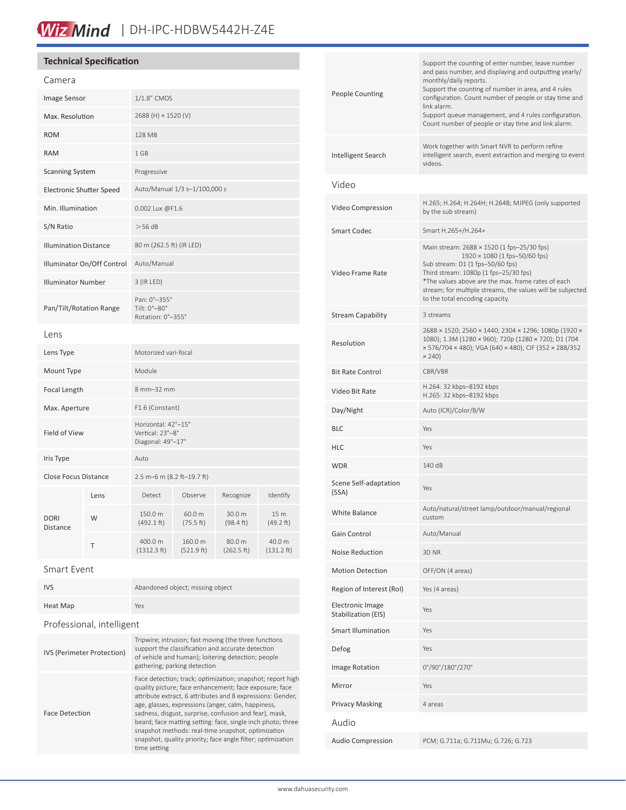### Wiz Mind | DH-IPC-HDBW5442H-Z4E

| <b>Technical Specification</b>    |        |                                                                                                                                                                                                                                                                                                                                                                                                                                                                                                        |                     |                     |                   |  | Support the counting of enter number, leave number |                                                                                                                                                                                                                  |
|-----------------------------------|--------|--------------------------------------------------------------------------------------------------------------------------------------------------------------------------------------------------------------------------------------------------------------------------------------------------------------------------------------------------------------------------------------------------------------------------------------------------------------------------------------------------------|---------------------|---------------------|-------------------|--|----------------------------------------------------|------------------------------------------------------------------------------------------------------------------------------------------------------------------------------------------------------------------|
| Camera                            |        |                                                                                                                                                                                                                                                                                                                                                                                                                                                                                                        |                     |                     |                   |  | <b>People Counting</b>                             | and pass number, and displaying and outputting yearly/<br>monthly/daily reports.<br>Support the counting of number in area, and 4 rules<br>configuration. Count number of people or stay time and<br>link alarm. |
| Image Sensor                      |        | $1/1.8$ " CMOS                                                                                                                                                                                                                                                                                                                                                                                                                                                                                         |                     |                     |                   |  |                                                    |                                                                                                                                                                                                                  |
| Max. Resolution                   |        | 2688 (H) × 1520 (V)                                                                                                                                                                                                                                                                                                                                                                                                                                                                                    |                     |                     |                   |  |                                                    | Support queue management, and 4 rules configuration.<br>Count number of people or stay time and link alarm.                                                                                                      |
| <b>ROM</b>                        |        | 128 MB                                                                                                                                                                                                                                                                                                                                                                                                                                                                                                 |                     |                     |                   |  |                                                    |                                                                                                                                                                                                                  |
| <b>RAM</b>                        |        | 1 GB                                                                                                                                                                                                                                                                                                                                                                                                                                                                                                   |                     |                     |                   |  | Intelligent Search                                 | Work together with Smart NVR to perform refine<br>intelligent search, event extraction and merging to event<br>videos.                                                                                           |
| <b>Scanning System</b>            |        | Progressive                                                                                                                                                                                                                                                                                                                                                                                                                                                                                            |                     |                     |                   |  |                                                    |                                                                                                                                                                                                                  |
| <b>Electronic Shutter Speed</b>   |        | Auto/Manual 1/3 s-1/100,000 s                                                                                                                                                                                                                                                                                                                                                                                                                                                                          |                     |                     |                   |  | Video                                              |                                                                                                                                                                                                                  |
| Min. Illumination                 |        | 0.002 Lux @F1.6                                                                                                                                                                                                                                                                                                                                                                                                                                                                                        |                     |                     |                   |  | Video Compression                                  | H.265; H.264; H.264H; H.264B; MJPEG (only supported<br>by the sub stream)                                                                                                                                        |
| S/N Ratio                         |        | $>56$ dB                                                                                                                                                                                                                                                                                                                                                                                                                                                                                               |                     |                     |                   |  | <b>Smart Codec</b>                                 | Smart H.265+/H.264+                                                                                                                                                                                              |
| <b>Illumination Distance</b>      |        | 80 m (262.5 ft) (IR LED)                                                                                                                                                                                                                                                                                                                                                                                                                                                                               |                     |                     |                   |  |                                                    | Main stream: 2688 × 1520 (1 fps-25/30 fps)                                                                                                                                                                       |
| Illuminator On/Off Control        |        | Auto/Manual                                                                                                                                                                                                                                                                                                                                                                                                                                                                                            |                     |                     |                   |  | Video Frame Rate                                   | $1920 \times 1080$ (1 fps-50/60 fps)<br>Sub stream: D1 (1 fps-50/60 fps)<br>Third stream: 1080p (1 fps-25/30 fps)                                                                                                |
| <b>Illuminator Number</b>         |        | 3 (IR LED)                                                                                                                                                                                                                                                                                                                                                                                                                                                                                             |                     |                     |                   |  |                                                    | *The values above are the max. frame rates of each<br>stream; for multiple streams, the values will be subjected                                                                                                 |
| Pan/Tilt/Rotation Range           |        | Pan: 0°-355°<br>Tilt: 0°-80°                                                                                                                                                                                                                                                                                                                                                                                                                                                                           |                     |                     |                   |  |                                                    | to the total encoding capacity.                                                                                                                                                                                  |
|                                   |        | Rotation: 0°-355°                                                                                                                                                                                                                                                                                                                                                                                                                                                                                      |                     |                     |                   |  | <b>Stream Capability</b>                           | 3 streams<br>2688 × 1520; 2560 × 1440; 2304 × 1296; 1080p (1920 ×                                                                                                                                                |
| Lens<br>Lens Type                 |        | Motorized vari-focal                                                                                                                                                                                                                                                                                                                                                                                                                                                                                   |                     |                     |                   |  | Resolution                                         | 1080); 1.3M (1280 × 960); 720p (1280 × 720); D1 (704<br>× 576/704 × 480); VGA (640 × 480); CIF (352 × 288/352<br>$\times$ 240)                                                                                   |
| Mount Type                        |        | Module                                                                                                                                                                                                                                                                                                                                                                                                                                                                                                 |                     |                     |                   |  | <b>Bit Rate Control</b>                            | CBR/VBR                                                                                                                                                                                                          |
| Focal Length                      |        | 8 mm-32 mm                                                                                                                                                                                                                                                                                                                                                                                                                                                                                             |                     |                     |                   |  | Video Bit Rate                                     | H.264: 32 kbps-8192 kbps<br>H.265: 32 kbps-8192 kbps                                                                                                                                                             |
| Max. Aperture                     |        | F1.6 (Constant)                                                                                                                                                                                                                                                                                                                                                                                                                                                                                        |                     |                     |                   |  | Day/Night                                          | Auto (ICR)/Color/B/W                                                                                                                                                                                             |
|                                   |        | Horizontal: 42°-15°                                                                                                                                                                                                                                                                                                                                                                                                                                                                                    |                     |                     |                   |  | <b>BLC</b>                                         | Yes                                                                                                                                                                                                              |
| Field of View                     |        | Vertical: 23°-8°<br>Diagonal: 49°-17°                                                                                                                                                                                                                                                                                                                                                                                                                                                                  |                     |                     |                   |  | <b>HLC</b>                                         | Yes                                                                                                                                                                                                              |
| Iris Type                         |        | Auto                                                                                                                                                                                                                                                                                                                                                                                                                                                                                                   |                     |                     |                   |  | <b>WDR</b>                                         | 140 dB                                                                                                                                                                                                           |
| Close Focus Distance              |        | 2.5 m-6 m (8.2 ft-19.7 ft)                                                                                                                                                                                                                                                                                                                                                                                                                                                                             |                     |                     |                   |  | Scene Self-adaptation                              |                                                                                                                                                                                                                  |
|                                   | Lens   | Detect                                                                                                                                                                                                                                                                                                                                                                                                                                                                                                 | Observe             | Recognize           | Identify          |  | (SSA)                                              | Yes                                                                                                                                                                                                              |
| <b>DORI</b>                       | W      | 150.0 m<br>(492.1 ft)                                                                                                                                                                                                                                                                                                                                                                                                                                                                                  | 60.0 m<br>(75.5 ft) | 30.0 m<br>(98.4 ft) | 15 m<br>(49.2 ft) |  | White Balance                                      | Auto/natural/street lamp/outdoor/manual/regional<br>custom                                                                                                                                                       |
| Distance                          |        | 400.0 m                                                                                                                                                                                                                                                                                                                                                                                                                                                                                                | 160.0 m             | 80.0 m              | 40.0 m            |  | Gain Control                                       | Auto/Manual                                                                                                                                                                                                      |
|                                   | $\top$ | (1312.3 ft)                                                                                                                                                                                                                                                                                                                                                                                                                                                                                            | (521.9 ft)          | (262.5 ft)          | (131.2 ft)        |  | Noise Reduction                                    | 3D NR                                                                                                                                                                                                            |
| Smart Event                       |        |                                                                                                                                                                                                                                                                                                                                                                                                                                                                                                        |                     |                     |                   |  | <b>Motion Detection</b>                            | OFF/ON (4 areas)                                                                                                                                                                                                 |
| IVS                               |        | Abandoned object; missing object                                                                                                                                                                                                                                                                                                                                                                                                                                                                       |                     |                     |                   |  | Region of Interest (RoI)                           | Yes (4 areas)                                                                                                                                                                                                    |
| <b>Heat Map</b>                   |        | Yes                                                                                                                                                                                                                                                                                                                                                                                                                                                                                                    |                     |                     |                   |  | <b>Electronic Image</b><br>Stabilization (EIS)     | Yes                                                                                                                                                                                                              |
| Professional, intelligent         |        |                                                                                                                                                                                                                                                                                                                                                                                                                                                                                                        |                     |                     |                   |  | <b>Smart Illumination</b>                          | Yes                                                                                                                                                                                                              |
| <b>IVS (Perimeter Protection)</b> |        | Tripwire; intrusion; fast moving (the three functions<br>support the classification and accurate detection<br>of vehicle and human); loitering detection; people<br>gathering; parking detection                                                                                                                                                                                                                                                                                                       |                     |                     |                   |  | Defog                                              | Yes                                                                                                                                                                                                              |
|                                   |        |                                                                                                                                                                                                                                                                                                                                                                                                                                                                                                        |                     |                     |                   |  | Image Rotation                                     | 0°/90°/180°/270°                                                                                                                                                                                                 |
| <b>Face Detection</b>             |        | Face detection; track; optimization; snapshot; report high<br>quality picture; face enhancement; face exposure; face<br>attribute extract, 6 attributes and 8 expressions: Gender,<br>age, glasses, expressions (anger, calm, happiness,<br>sadness, disgust, surprise, confusion and fear), mask,<br>beard; face matting setting: face, single inch photo; three<br>snapshot methods: real-time snapshot, optimization<br>snapshot, quality priority; face angle filter; optimization<br>time setting |                     |                     |                   |  | Mirror                                             | Yes                                                                                                                                                                                                              |
|                                   |        |                                                                                                                                                                                                                                                                                                                                                                                                                                                                                                        |                     |                     |                   |  | <b>Privacy Masking</b>                             | 4 areas                                                                                                                                                                                                          |
|                                   |        |                                                                                                                                                                                                                                                                                                                                                                                                                                                                                                        |                     |                     |                   |  | Audio                                              |                                                                                                                                                                                                                  |
|                                   |        |                                                                                                                                                                                                                                                                                                                                                                                                                                                                                                        |                     |                     |                   |  | Audio Compression                                  | PCM; G.711a; G.711Mu; G.726; G.723                                                                                                                                                                               |
|                                   |        |                                                                                                                                                                                                                                                                                                                                                                                                                                                                                                        |                     |                     |                   |  |                                                    |                                                                                                                                                                                                                  |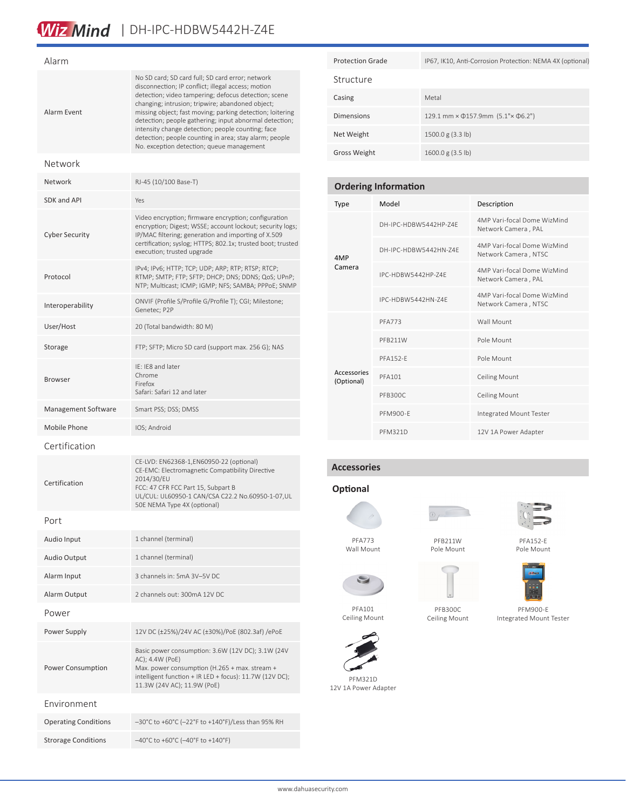# Wiz Mind | DH-IPC-HDBW5442H-Z4E

| Alarm                       |                                                                                                                                                                                                                                                                                                                                                                                                                                                                                                       |  |  |  |  |
|-----------------------------|-------------------------------------------------------------------------------------------------------------------------------------------------------------------------------------------------------------------------------------------------------------------------------------------------------------------------------------------------------------------------------------------------------------------------------------------------------------------------------------------------------|--|--|--|--|
| Alarm Event                 | No SD card; SD card full; SD card error; network<br>disconnection; IP conflict; illegal access; motion<br>detection; video tampering; defocus detection; scene<br>changing; intrusion; tripwire; abandoned object;<br>missing object; fast moving; parking detection; loitering<br>detection; people gathering; input abnormal detection;<br>intensity change detection; people counting; face<br>detection; people counting in area; stay alarm; people<br>No. exception detection; queue management |  |  |  |  |
| Network                     |                                                                                                                                                                                                                                                                                                                                                                                                                                                                                                       |  |  |  |  |
| Network                     | RJ-45 (10/100 Base-T)                                                                                                                                                                                                                                                                                                                                                                                                                                                                                 |  |  |  |  |
| <b>SDK and API</b>          | Yes                                                                                                                                                                                                                                                                                                                                                                                                                                                                                                   |  |  |  |  |
| <b>Cyber Security</b>       | Video encryption; firmware encryption; configuration<br>encryption; Digest; WSSE; account lockout; security logs;<br>IP/MAC filtering; generation and importing of X.509<br>certification; syslog; HTTPS; 802.1x; trusted boot; trusted<br>execution; trusted upgrade                                                                                                                                                                                                                                 |  |  |  |  |
| Protocol                    | IPv4; IPv6; HTTP; TCP; UDP; ARP; RTP; RTSP; RTCP;<br>RTMP; SMTP; FTP; SFTP; DHCP; DNS; DDNS; QoS; UPnP;<br>NTP; Multicast; ICMP; IGMP; NFS; SAMBA; PPPoE; SNMP                                                                                                                                                                                                                                                                                                                                        |  |  |  |  |
| Interoperability            | ONVIF (Profile S/Profile G/Profile T); CGI; Milestone;<br>Genetec; P2P                                                                                                                                                                                                                                                                                                                                                                                                                                |  |  |  |  |
| User/Host                   | 20 (Total bandwidth: 80 M)                                                                                                                                                                                                                                                                                                                                                                                                                                                                            |  |  |  |  |
| Storage                     | FTP; SFTP; Micro SD card (support max. 256 G); NAS                                                                                                                                                                                                                                                                                                                                                                                                                                                    |  |  |  |  |
| <b>Browser</b>              | IE: IE8 and later<br>Chrome<br>Firefox<br>Safari: Safari 12 and later                                                                                                                                                                                                                                                                                                                                                                                                                                 |  |  |  |  |
| Management Software         | Smart PSS; DSS; DMSS                                                                                                                                                                                                                                                                                                                                                                                                                                                                                  |  |  |  |  |
| Mobile Phone                | IOS; Android                                                                                                                                                                                                                                                                                                                                                                                                                                                                                          |  |  |  |  |
| Certification               |                                                                                                                                                                                                                                                                                                                                                                                                                                                                                                       |  |  |  |  |
| Certification               | CE-LVD: EN62368-1,EN60950-22 (optional)<br>CE-EMC: Electromagnetic Compatibility Directive<br>2014/30/EU<br>FCC: 47 CFR FCC Part 15, Subpart B<br>UL/CUL: UL60950-1 CAN/CSA C22.2 No.60950-1-07,UL<br>50E NEMA Type 4X (optional)                                                                                                                                                                                                                                                                     |  |  |  |  |
| Port                        |                                                                                                                                                                                                                                                                                                                                                                                                                                                                                                       |  |  |  |  |
| Audio Input                 | 1 channel (terminal)                                                                                                                                                                                                                                                                                                                                                                                                                                                                                  |  |  |  |  |
| Audio Output                | 1 channel (terminal)                                                                                                                                                                                                                                                                                                                                                                                                                                                                                  |  |  |  |  |
| Alarm Input                 | 3 channels in: 5mA 3V-5V DC                                                                                                                                                                                                                                                                                                                                                                                                                                                                           |  |  |  |  |
| Alarm Output                | 2 channels out: 300mA 12V DC                                                                                                                                                                                                                                                                                                                                                                                                                                                                          |  |  |  |  |
| Power                       |                                                                                                                                                                                                                                                                                                                                                                                                                                                                                                       |  |  |  |  |
| Power Supply                | 12V DC (±25%)/24V AC (±30%)/PoE (802.3af) /ePoE                                                                                                                                                                                                                                                                                                                                                                                                                                                       |  |  |  |  |
| Power Consumption           | Basic power consumption: 3.6W (12V DC); 3.1W (24V<br>AC); 4.4W (PoE)<br>Max. power consumption (H.265 + max. stream +<br>intelligent function + IR LED + focus): 11.7W (12V DC);<br>11.3W (24V AC); 11.9W (PoE)                                                                                                                                                                                                                                                                                       |  |  |  |  |
| Environment                 |                                                                                                                                                                                                                                                                                                                                                                                                                                                                                                       |  |  |  |  |
| <b>Operating Conditions</b> | -30°C to +60°C (-22°F to +140°F)/Less than 95% RH                                                                                                                                                                                                                                                                                                                                                                                                                                                     |  |  |  |  |

Strorage Conditions –40°C to +60°C (–40°F to +140°F)

| <b>Protection Grade</b> | IP67, IK10, Anti-Corrosion Protection: NEMA 4X (optional) |  |  |
|-------------------------|-----------------------------------------------------------|--|--|
| Structure               |                                                           |  |  |
| Casing                  | Metal                                                     |  |  |
| <b>Dimensions</b>       | 129.1 mm × $\Phi$ 157.9mm (5.1"× $\Phi$ 6.2")             |  |  |
| Net Weight              | 1500.0 g (3.3 lb)                                         |  |  |
| <b>Gross Weight</b>     | 1600.0 g (3.5 lb)                                         |  |  |

| <b>Ordering Information</b> |                       |                                                     |  |  |  |  |
|-----------------------------|-----------------------|-----------------------------------------------------|--|--|--|--|
| <b>Type</b>                 | Model                 | Description                                         |  |  |  |  |
|                             | DH-IPC-HDBW5442HP-74F | 4MP Vari-focal Dome WizMind<br>Network Camera, PAL  |  |  |  |  |
| 4MP                         | DH-IPC-HDBW5442HN-74F | 4MP Vari-focal Dome WizMind<br>Network Camera, NTSC |  |  |  |  |
| Camera                      | IPC-HDBW5442HP-74F    | 4MP Vari-focal Dome WizMind<br>Network Camera, PAL  |  |  |  |  |
|                             | IPC-HDBW5442HN-74F    | 4MP Vari-focal Dome WizMind<br>Network Camera, NTSC |  |  |  |  |
|                             | PFA773                | Wall Mount                                          |  |  |  |  |
|                             | PFB211W               | Pole Mount                                          |  |  |  |  |
|                             | <b>PFA152-F</b>       | Pole Mount                                          |  |  |  |  |
| Accessories<br>(Optional)   | <b>PFA101</b>         | <b>Ceiling Mount</b>                                |  |  |  |  |
|                             | PFB300C               | Ceiling Mount                                       |  |  |  |  |
|                             | <b>PFM900-F</b>       | Integrated Mount Tester                             |  |  |  |  |
|                             | <b>PFM321D</b>        | 12V 1A Power Adapter                                |  |  |  |  |

### **Accessories**

### **Optional**



Wall Mount



PFB211W Pole Mount





Ceiling Mount



PFA101 Ceiling Mount

PFM321D 12V 1A Power Adapter

PFA152-E





PFM900-E Integrated Mount Tester